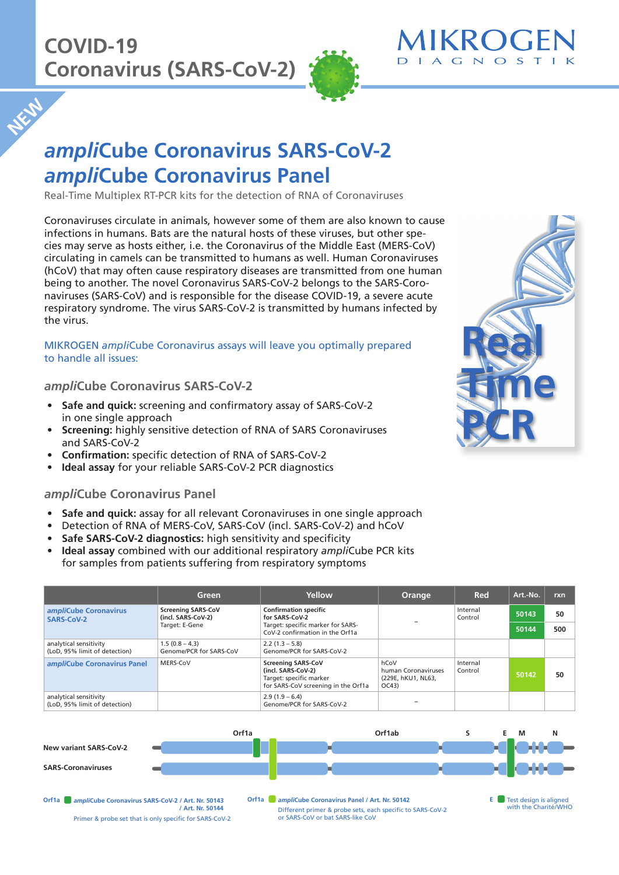**NEW** 



# *ampli***Cube Coronavirus SARS-CoV-2**  *ampli***Cube Coronavirus Panel**

Real-Time Multiplex RT-PCR kits for the detection of RNA of Coronaviruses

Coronaviruses circulate in animals, however some of them are also known to cause infections in humans. Bats are the natural hosts of these viruses, but other species may serve as hosts either, i.e. the Coronavirus of the Middle East (MERS-CoV) circulating in camels can be transmitted to humans as well. Human Coronaviruses (hCoV) that may often cause respiratory diseases are transmitted from one human being to another. The novel Coronavirus SARS-CoV-2 belongs to the SARS-Coronaviruses (SARS-CoV) and is responsible for the disease COVID-19, a severe acute respiratory syndrome. The virus SARS-CoV-2 is transmitted by humans infected by the virus.

MIKROGEN *ampli*Cube Coronavirus assays will leave you optimally prepared to handle all issues:

### *ampli***Cube Coronavirus SARS-CoV-2**

- **Safe and quick:** screening and confirmatory assay of SARS-CoV-2 in one single approach
- **Screening:** highly sensitive detection of RNA of SARS Coronaviruses and SARS-CoV-2
- **Confirmation:** specific detection of RNA of SARS-CoV-2
- **Ideal assay** for your reliable SARS-CoV-2 PCR diagnostics

### *ampli***Cube Coronavirus Panel**

- **Safe and quick:** assay for all relevant Coronaviruses in one single approach
- Detection of RNA of MERS-CoV, SARS-CoV (incl. SARS-CoV-2) and hCoV
- **Safe SARS-CoV-2 diagnostics:** high sensitivity and specificity
- **Ideal assay** combined with our additional respiratory *ampli*Cube PCR kits for samples from patients suffering from respiratory symptoms

|                                                         | Green                                                             | Yellow                                                                                                            | Orange                                                    | Red                 | Art.-No. | rxn |
|---------------------------------------------------------|-------------------------------------------------------------------|-------------------------------------------------------------------------------------------------------------------|-----------------------------------------------------------|---------------------|----------|-----|
| ampliCube Coronavirus<br>SARS-CoV-2                     | <b>Screening SARS-CoV</b><br>(incl. SARS-CoV-2)<br>Target: E-Gene | <b>Confirmation specific</b><br>for SARS-CoV-2                                                                    |                                                           | Internal<br>Control | 50143    | 50  |
|                                                         |                                                                   | Target: specific marker for SARS-<br>CoV-2 confirmation in the Orf1a                                              |                                                           |                     | 50144    | 500 |
| analytical sensitivity<br>(LoD, 95% limit of detection) | $1.5(0.8 - 4.3)$<br>Genome/PCR for SARS-CoV                       | $2.2(1.3 - 5.8)$<br>Genome/PCR for SARS-CoV-2                                                                     |                                                           |                     |          |     |
| ampliCube Coronavirus Panel                             | MERS-CoV                                                          | <b>Screening SARS-CoV</b><br>(incl. SARS-CoV-2)<br>Target: specific marker<br>for SARS-CoV screening in the Orf1a | hCoV<br>human Coronaviruses<br>(229E, hKU1, NL63,<br>OC43 | Internal<br>Control | 50142    | 50  |
| analytical sensitivity<br>(LoD. 95% limit of detection) |                                                                   | $2.9(1.9 - 6.4)$<br>Genome/PCR for SARS-CoV-2                                                                     |                                                           |                     |          |     |